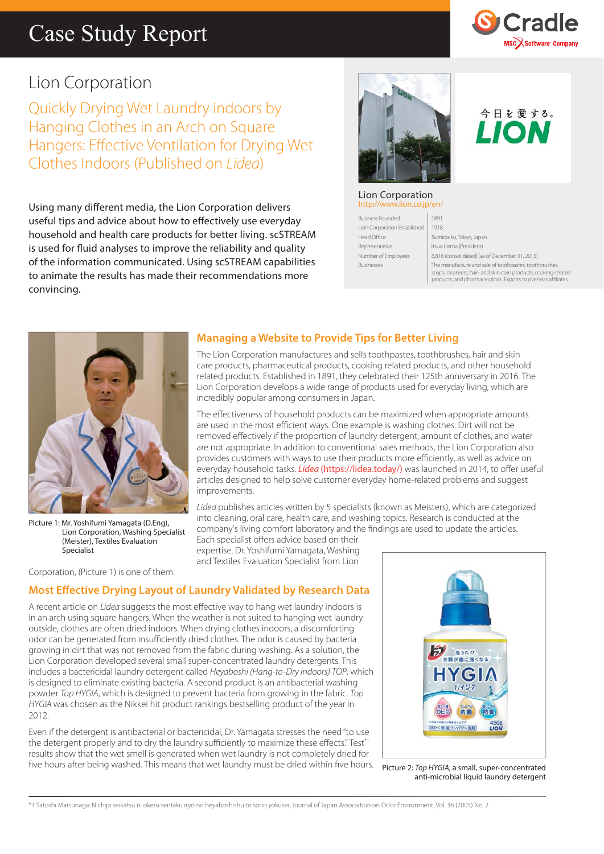## Case Study Report



今日を愛する。 LION

### Lion Corporation

Quickly Drying Wet Laundry indoors by Hanging Clothes in an Arch on Square Hangers: Effective Ventilation for Drying Wet Clothes Indoors (Published on *Lidea*)

Using many different media, the Lion Corporation delivers useful tips and advice about how to effectively use everyday household and health care products for better living. scSTREAM is used for fluid analyses to improve the reliability and quality of the information communicated. Using scSTREAM capabilities to animate the results has made their recommendations more convincing.



#### Lion Corporation http://www.lion.co.jp

Business Founded 1891 Lion Corporation Established 1918 Head Office Sumida-ku, Tokyo, Japan Representative Itsuo Hama (President)

Number of Employees 6,816 (consolidated) [as of December 31, 2015] Businesses The manufacture and sale of toothpastes, toothbrushes, soaps, cleansers, hair- and skin-care products, cooking-related products, and pharmaceuticals. Exports to overseas affi liates.



Picture 1: Mr. Yoshifumi Yamagata (D.Eng), Lion Corporation, Washing Specialist (Meister), Textiles Evaluation

Corporation, (Picture 1) is one of them.

Specialist

#### **Managing a Website to Provide Tips for Better Living**

The Lion Corporation manufactures and sells toothpastes, toothbrushes, hair and skin care products, pharmaceutical products, cooking related products, and other household related products. Established in 1891, they celebrated their 125th anniversary in 2016. The Lion Corporation develops a wide range of products used for everyday living, which are incredibly popular among consumers in Japan.

The effectiveness of household products can be maximized when appropriate amounts are used in the most efficient ways. One example is washing clothes. Dirt will not be removed effectively if the proportion of laundry detergent, amount of clothes, and water are not appropriate. In addition to conventional sales methods, the Lion Corporation also provides customers with ways to use their products more efficiently, as well as advice on everyday household tasks. *Lidea* (https://lidea.today/) was launched in 2014, to offer useful articles designed to help solve customer everyday home-related problems and suggest improvements.

*Lidea* publishes articles written by 5 specialists (known as Meisters), which are categorized into cleaning, oral care, health care, and washing topics. Research is conducted at the company's living comfort laboratory and the findings are used to update the articles.

Each specialist offers advice based on their expertise. Dr. Yoshifumi Yamagata, Washing and Textiles Evaluation Specialist from Lion

#### **Most Effective Drying Layout of Laundry Validated by Research Data**

A recent article on *Lidea* suggests the most effective way to hang wet laundry indoors is in an arch using square hangers. When the weather is not suited to hanging wet laundry outside, clothes are often dried indoors. When drying clothes indoors, a discomforting odor can be generated from insufficiently dried clothes. The odor is caused by bacteria growing in dirt that was not removed from the fabric during washing. As a solution, the Lion Corporation developed several small super-concentrated laundry detergents. This includes a bactericidal laundry detergent called *Heyaboshi (Hang-to-Dry Indoors) TOP*, which is designed to eliminate existing bacteria. A second product is an antibacterial washing powder *Top HYGIA*, which is designed to prevent bacteria from growing in the fabric. *Top HYGIA* was chosen as the Nikkei hit product rankings bestselling product of the year in 2012.

Even if the detergent is antibacterial or bactericidal, Dr. Yamagata stresses the need "to use the detergent properly and to dry the laundry sufficiently to maximize these effects." Test\*1 results show that the wet smell is generated when wet laundry is not completely dried for five hours after being washed. This means that wet laundry must be dried within five hours. **Picture 2: Top HYGIA, a small, super-concentrated** 



anti-microbial liquid laundry detergent

\*1 Satoshi Matsunaga: Nichijo seikatsu ni okeru sentaku iryo no heyaboshishu to sono yokusei, Journal of Japan Association on Odor Environment, Vol. 36 (2005) No. 2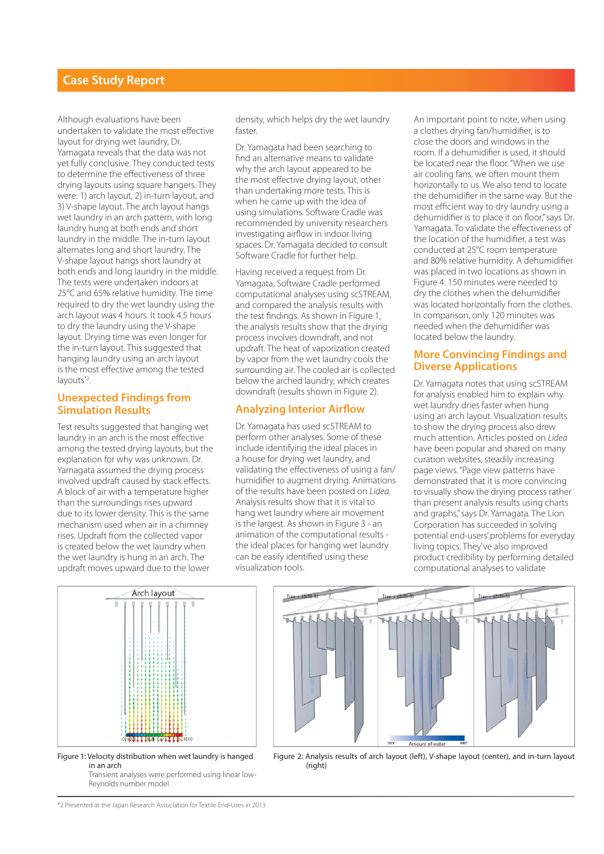#### **Case Study Report**

Although evaluations have been undertaken to validate the most effective layout for drying wet laundry, Dr. Yamagata reveals that the data was not yet fully conclusive. They conducted tests to determine the effectiveness of three drying layouts using square hangers. They were: 1) arch layout, 2) in-turn layout, and 3) V-shape layout. The arch layout hangs wet laundry in an arch pattern, with long laundry hung at both ends and short laundry in the middle. The in-turn layout alternates long and short laundry. The V-shape layout hangs short laundry at both ends and long laundry in the middle. The tests were undertaken indoors at 25°C and 65% relative humidity. The time required to dry the wet laundry using the arch layout was 4 hours. It took 4.5 hours to dry the laundry using the V-shape layout. Drying time was even longer for the in-turn layout. This suggested that hanging laundry using an arch layout is the most effective among the tested layouts<sup>\*2</sup>.

#### **Unexpected Findings from Simulation Results**

Test results suggested that hanging wet laundry in an arch is the most effective among the tested drying layouts, but the explanation for why was unknown. Dr. Yamagata assumed the drying process involved updraft caused by stack effects. A block of air with a temperature higher than the surroundings rises upward due to its lower density. This is the same mechanism used when air in a chimney rises. Updraft from the collected vapor is created below the wet laundry when the wet laundry is hung in an arch. The updraft moves upward due to the lower

density, which helps dry the wet laundry faster.

Dr. Yamagata had been searching to find an alternative means to validate why the arch layout appeared to be the most effective drying layout, other than undertaking more tests. This is when he came up with the idea of using simulations. Software Cradle was recommended by university researchers investigating airflow in indoor living spaces. Dr. Yamagata decided to consult Software Cradle for further help.

Having received a request from Dr. Yamagata, Software Cradle performed computational analyses using scSTREAM, and compared the analysis results with the test findings. As shown in Figure 1, the analysis results show that the drying process involves downdraft, and not updraft. The heat of vaporization created by vapor from the wet laundry cools the surrounding air. The cooled air is collected below the arched laundry, which creates downdraft (results shown in Figure 2).

#### **Analyzing Interior Airflow**

Dr. Yamagata has used scSTREAM to perform other analyses. Some of these include identifying the ideal places in a house for drying wet laundry, and validating the effectiveness of using a fan/ humidifier to augment drying. Animations of the results have been posted on *Lidea*. Analysis results show that it is vital to hang wet laundry where air movement is the largest. As shown in Figure 3 - an animation of the computational results the ideal places for hanging wet laundry can be easily identified using these visualization tools.

An important point to note, when using a clothes drying fan/humidifier, is to close the doors and windows in the room. If a dehumidifier is used, it should be located near the floor. "When we use air cooling fans, we often mount them horizontally to us. We also tend to locate the dehumidifier in the same way. But the most efficient way to dry laundry using a dehumidifier is to place it on floor," says Dr. Yamagata. To validate the effectiveness of the location of the humidifier, a test was conducted at 25°C room temperature and 80% relative humidity. A dehumidifier was placed in two locations as shown in Figure 4. 150 minutes were needed to dry the clothes when the dehumidifier was located horizontally from the clothes. In comparison, only 120 minutes was needed when the dehumidifier was located below the laundry.

#### **More Convincing Findings and Diverse Applications**

Dr. Yamagata notes that using scSTREAM for analysis enabled him to explain why wet laundry dries faster when hung using an arch layout. Visualization results to show the drying process also drew much attention. Articles posted on *Lidea* have been popular and shared on many curation websites, steadily increasing page views. "Page view patterns have demonstrated that it is more convincing to visually show the drying process rather than present analysis results using charts and graphs," says Dr. Yamagata. The Lion Corporation has succeeded in solving potential end-users' problems for everyday living topics. They've also improved product credibility by performing detailed computational analyses to validate



Figure 1: Velocity distribution when wet laundry is hanged in an arch Transient analyses were performed using linear low-

Reynolds number model



Figure 2: Analysis results of arch layout (left), V-shape layout (center), and in-turn layout (right)

\*2 Presented at the Japan Research Association for Textile End-Uses in 2013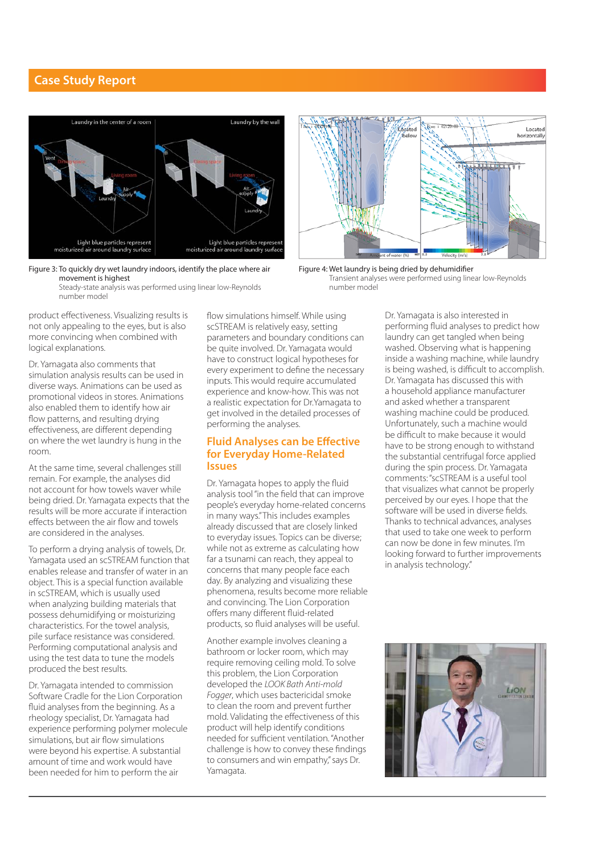#### **Case Study Report**





Steady-state analysis was performed using linear low-Reynolds number model

product effectiveness. Visualizing results is not only appealing to the eyes, but is also more convincing when combined with logical explanations.

Dr. Yamagata also comments that simulation analysis results can be used in diverse ways. Animations can be used as promotional videos in stores. Animations also enabled them to identify how air flow patterns, and resulting drying effectiveness, are different depending on where the wet laundry is hung in the room.

At the same time, several challenges still remain. For example, the analyses did not account for how towels waver while being dried. Dr. Yamagata expects that the results will be more accurate if interaction effects between the air flow and towels are considered in the analyses.

To perform a drying analysis of towels, Dr. Yamagata used an scSTREAM function that enables release and transfer of water in an object. This is a special function available in scSTREAM, which is usually used when analyzing building materials that possess dehumidifying or moisturizing characteristics. For the towel analysis, pile surface resistance was considered. Performing computational analysis and using the test data to tune the models produced the best results.

Dr. Yamagata intended to commission Software Cradle for the Lion Corporation fluid analyses from the beginning. As a rheology specialist, Dr. Yamagata had experience performing polymer molecule simulations, but air flow simulations were beyond his expertise. A substantial amount of time and work would have been needed for him to perform the air

flow simulations himself. While using scSTREAM is relatively easy, setting parameters and boundary conditions can be quite involved. Dr. Yamagata would have to construct logical hypotheses for every experiment to define the necessary inputs. This would require accumulated experience and know-how. This was not a realistic expectation for Dr.Yamagata to get involved in the detailed processes of performing the analyses.

#### **Fluid Analyses can be Effective for Everyday Home-Related Issues**

Dr. Yamagata hopes to apply the fluid analysis tool "in the field that can improve people's everyday home-related concerns in many ways." This includes examples already discussed that are closely linked to everyday issues. Topics can be diverse; while not as extreme as calculating how far a tsunami can reach, they appeal to concerns that many people face each day. By analyzing and visualizing these phenomena, results become more reliable and convincing. The Lion Corporation offers many different fluid-related products, so fluid analyses will be useful.

Another example involves cleaning a bathroom or locker room, which may require removing ceiling mold. To solve this problem, the Lion Corporation developed the *LOOK Bath Anti-mold Fogger*, which uses bactericidal smoke to clean the room and prevent further mold. Validating the effectiveness of this product will help identify conditions needed for sufficient ventilation. "Another challenge is how to convey these findings to consumers and win empathy," says Dr. Yamagata.



Figure 4: Wet laundry is being dried by dehumidifier Transient analyses were performed using linear low-Reynolds number model

Dr. Yamagata is also interested in performing fluid analyses to predict how laundry can get tangled when being washed. Observing what is happening inside a washing machine, while laundry is being washed, is difficult to accomplish. Dr. Yamagata has discussed this with a household appliance manufacturer and asked whether a transparent washing machine could be produced. Unfortunately, such a machine would be difficult to make because it would have to be strong enough to withstand the substantial centrifugal force applied during the spin process. Dr. Yamagata comments: "scSTREAM is a useful tool that visualizes what cannot be properly perceived by our eyes. I hope that the software will be used in diverse fields. Thanks to technical advances, analyses that used to take one week to perform can now be done in few minutes. I'm looking forward to further improvements in analysis technology."